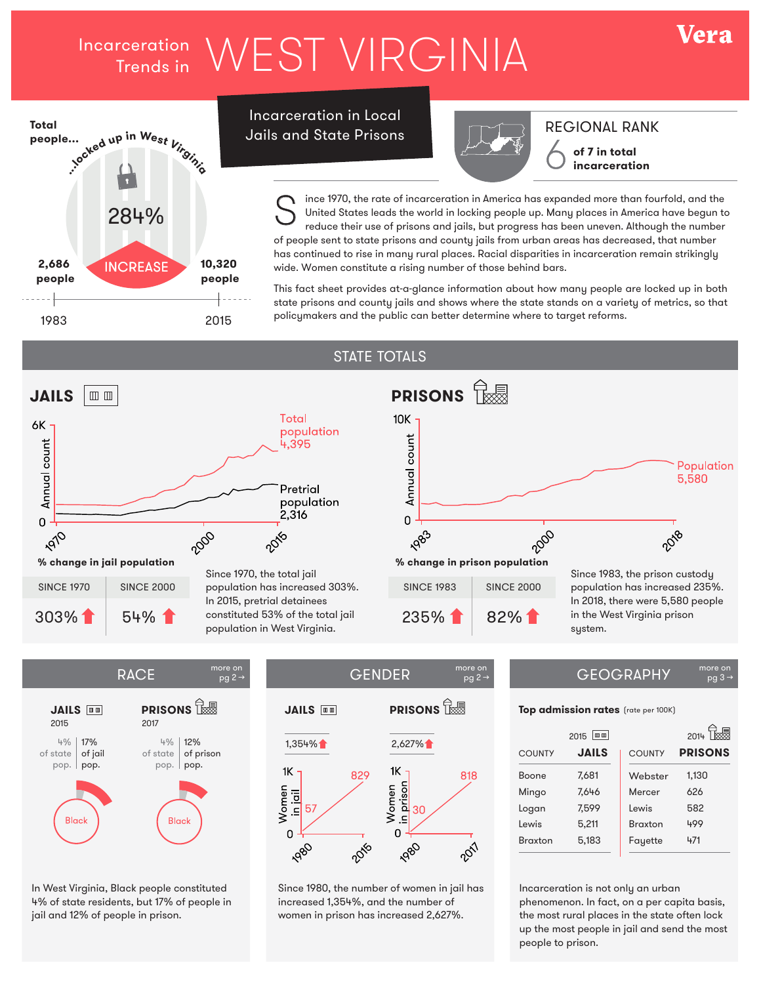# Incarceration WEST VIRGINIA



Incarceration in Local Jails and State Prisons



REGIONAL RANK **of 7 in total** 

Vera

**incarceration**

ince 1970, the rate of incarceration in America has expanded more than fourfold, and the United States leads the world in locking people up. Many places in America have begun to reduce their use of prisons and jails, but progress has been uneven. Although the number of people sent to state prisons and county jails from urban areas has decreased, that number has continued to rise in many rural places. Racial disparities in incarceration remain strikingly wide. Women constitute a rising number of those behind bars. S

This fact sheet provides at-a-glance information about how many people are locked up in both state prisons and county jails and shows where the state stands on a variety of metrics, so that policymakers and the public can better determine where to target reforms.

pg 2 →

### STATE TOTALS



 $pg 2 \rightarrow$ 



In West Virginia, Black people constituted 4% of state residents, but 17% of people in jail and 12% of people in prison.

# **JAILS III PRISONS** 1,354% 2,627%  $1<sub>K</sub>$  $1\!\!\!\!\!\!\!\mathsf{K}$ 829 818 Women<br>in prison 57



Since 1980, the number of women in jail has increased 1,354%, and the number of women in prison has increased 2,627%.

#### $RACE$   $^{more on}_{0.02\rightarrow}$   $^{more on}_{0.02\rightarrow}$  GEOGRAPHY  $pg<sub>3</sub>$

### **Top admission rates** (rate per 100K)

|                | Ⅲ Ⅲ<br>2015  |                | 2014           |
|----------------|--------------|----------------|----------------|
| <b>COUNTY</b>  | <b>JAILS</b> | <b>COUNTY</b>  | <b>PRISONS</b> |
| <b>Boone</b>   | 7.681        | Webster        | 1,130          |
| Mingo          | 7,646        | Mercer         | 626            |
| Logan          | 7.599        | Lewis          | 582            |
| Lewis          | 5,211        | <b>Braxton</b> | 499            |
| <b>Braxton</b> | 5,183        | Fayette        | 471            |
|                |              |                |                |

Incarceration is not only an urban phenomenon. In fact, on a per capita basis, the most rural places in the state often lock up the most people in jail and send the most people to prison.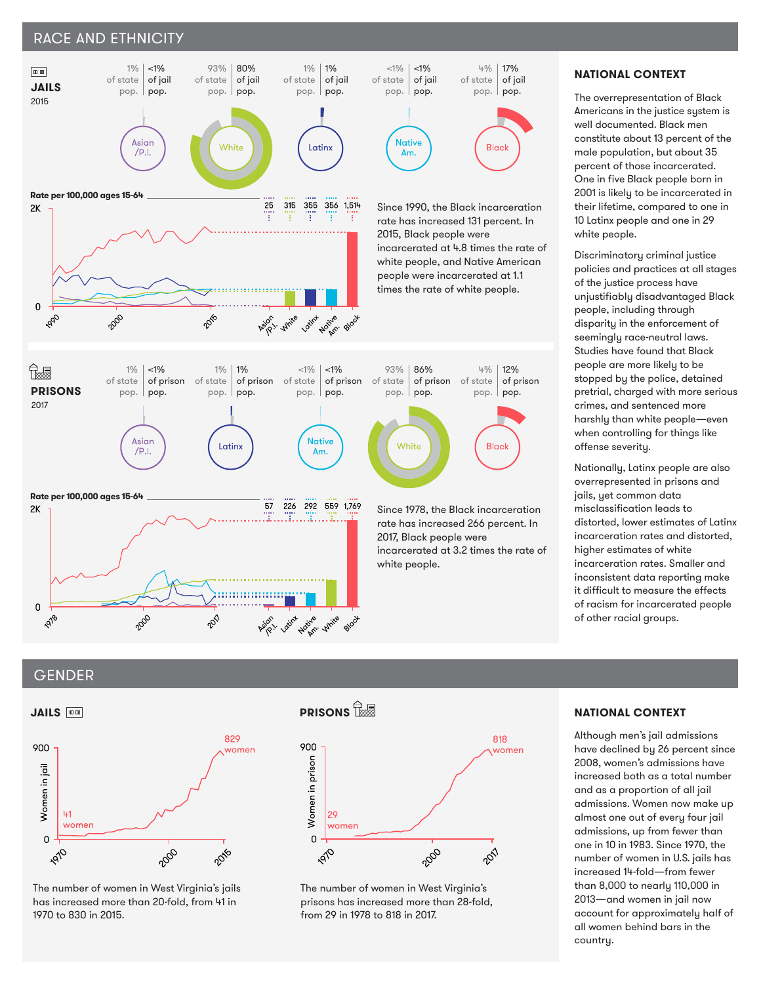## RACE AND ETHNICITY



### **NATIONAL CONTEXT**

The overrepresentation of Black Americans in the justice system is well documented. Black men constitute about 13 percent of the male population, but about 35 percent of those incarcerated. One in five Black people born in 2001 is likely to be incarcerated in their lifetime, compared to one in 10 Latinx people and one in 29 white people.

Discriminatory criminal justice policies and practices at all stages of the justice process have unjustifiably disadvantaged Black people, including through disparity in the enforcement of seemingly race-neutral laws. Studies have found that Black people are more likely to be stopped by the police, detained pretrial, charged with more serious crimes, and sentenced more harshly than white people—even when controlling for things like offense severity.

Nationally, Latinx people are also overrepresented in prisons and jails, yet common data misclassification leads to distorted, lower estimates of Latinx incarceration rates and distorted, higher estimates of white incarceration rates. Smaller and inconsistent data reporting make it difficult to measure the effects of racism for incarcerated people of other racial groups.

### GENDER



The number of women in West Virginia's jails has increased more than 20-fold, from 41 in 1970 to 830 in 2015.

# **PRISONS**



The number of women in West Virginia's prisons has increased more than 28-fold, from 29 in 1978 to 818 in 2017.

### **NATIONAL CONTEXT**

Although men's jail admissions have declined by 26 percent since 2008, women's admissions have increased both as a total number and as a proportion of all jail admissions. Women now make up almost one out of every four jail admissions, up from fewer than one in 10 in 1983. Since 1970, the number of women in U.S. jails has increased 14-fold—from fewer than 8,000 to nearly 110,000 in 2013—and women in jail now account for approximately half of all women behind bars in the country.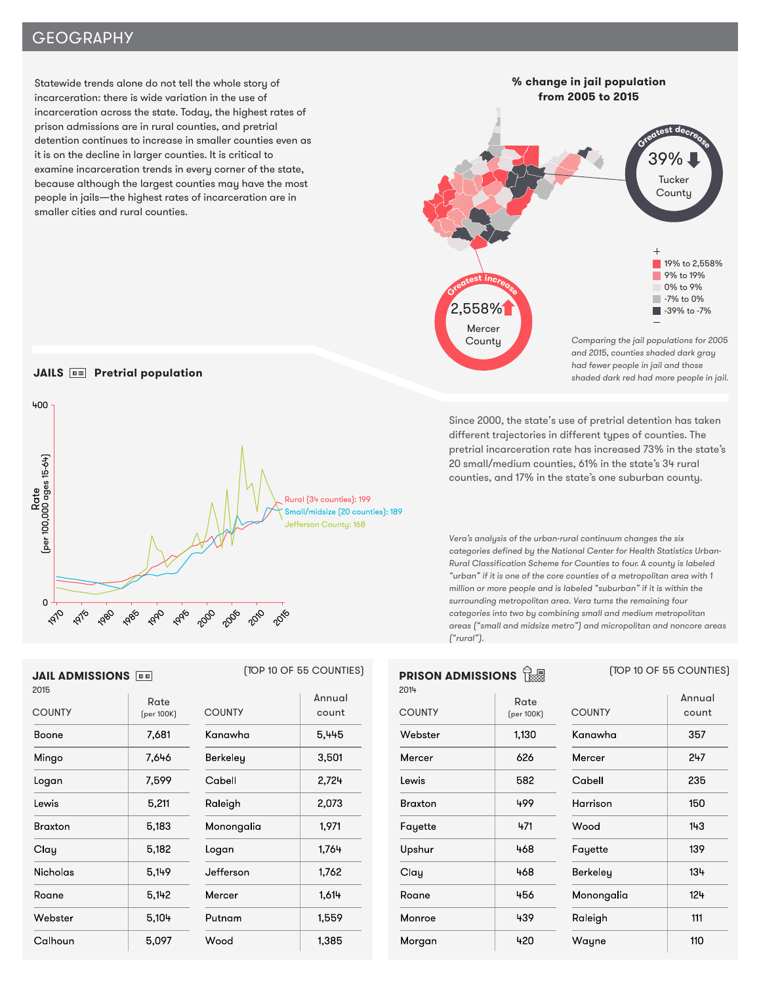# **GEOGRAPHY**

Statewide trends alone do not tell the whole story of incarceration: there is wide variation in the use of incarceration across the state. Today, the highest rates of prison admissions are in rural counties, and pretrial detention continues to increase in smaller counties even as it is on the decline in larger counties. It is critical to examine incarceration trends in every corner of the state, because although the largest counties may have the most people in jails—the highest rates of incarceration are in smaller cities and rural counties.

Comparing the jail populations for 2005 and 2015, counties shaded dark gray had fewer people in jail and those shaded dark red had more people in jail. **% change in jail population from 2005 to 2015** 19% to 2,558% 9% to 19% 0% to 9% -7% to 0% 39% to -7% **<sup>G</sup><sup>r</sup>eates<sup>t</sup> <sup>d</sup>ecreas<sup>e</sup>** 39% **Tucker County <sup>G</sup><sup>r</sup>eates<sup>t</sup> <sup>i</sup>ncreas<sup>e</sup>** 2,558% Mercer **County** 

Since 2000, the state's use of pretrial detention has taken different trajectories in different types of counties. The pretrial incarceration rate has increased 73% in the state's 20 small/medium counties, 61% in the state's 34 rural counties, and 17% in the state's one suburban county.

Vera's analysis of the urban-rural continuum changes the six categories defined by the National Center for Health Statistics Urban-Rural Classification Scheme for Counties to four. A county is labeled "urban" if it is one of the core counties of a metropolitan area with 1 million or more people and is labeled "suburban" if it is within the surrounding metropolitan area. Vera turns the remaining four categories into two by combining small and medium metropolitan areas ("small and midsize metro") and micropolitan and noncore areas ("rural").

| <b>PRISON ADMISSIONS</b><br>祿 |                    | [TOP 10 OF 55 COUNTIES] |                 |  |
|-------------------------------|--------------------|-------------------------|-----------------|--|
| 2014<br><b>COUNTY</b>         | Rate<br>(per 100K) | <b>COUNTY</b>           | Annual<br>count |  |
| Webster                       | 1,130              | Kanawha                 | 357             |  |
| Mercer                        | 626                | Mercer                  | 247             |  |
| Lewis                         | 582                | Cabell                  | 235             |  |
| Braxton                       | 499                | Harrison                | 150             |  |
| Fayette                       | 471                | Wood                    | 143             |  |
| Upshur                        | 468                | Fayette                 | 139             |  |
| Clay                          | 468                | Berkeley                | 134             |  |
| Roane                         | 456                | Monongalia              | $12 +$          |  |
| Monroe                        | 439                | Raleigh                 | 111             |  |
| Morgan                        | 420                | Wayne                   | 110             |  |

### **JAILS <b>WEB** Pretrial population



| <b>JAIL ADMISSIONS</b> |                    |               | [TOP 10 OF 55 COUNTIES] | <b>PRI</b>      |
|------------------------|--------------------|---------------|-------------------------|-----------------|
| 2015<br><b>COUNTY</b>  | Rate<br>(per 100K) | <b>COUNTY</b> | Annual<br>count         | 2014<br>COI     |
| Boone                  | 7,681              | Kanawha       | 5,445                   | We              |
| Mingo                  | 7,646              | Berkeley      | 3,501                   | Mer             |
| Logan                  | 7,599              | Cabell        | $2,72 +$                | Lew             |
| Lewis                  | 5,211              | Raleigh       | 2,073                   | Bra             |
| <b>Braxton</b>         | 5,183              | Monongalia    | 1,971                   | Fay             |
| Clay                   | 5,182              | Logan         | 1,764                   | Ups             |
| <b>Nicholas</b>        | 5,149              | Jefferson     | 1,762                   | Cl <sub>a</sub> |
| Roane                  | 5,142              | Mercer        | 1,614                   | Roc             |
| Webster                | $5,10+$            | Putnam        | 1,559                   | Mo              |
| Calhoun                | 5.097              | Wood          | 1.385                   | Mo              |